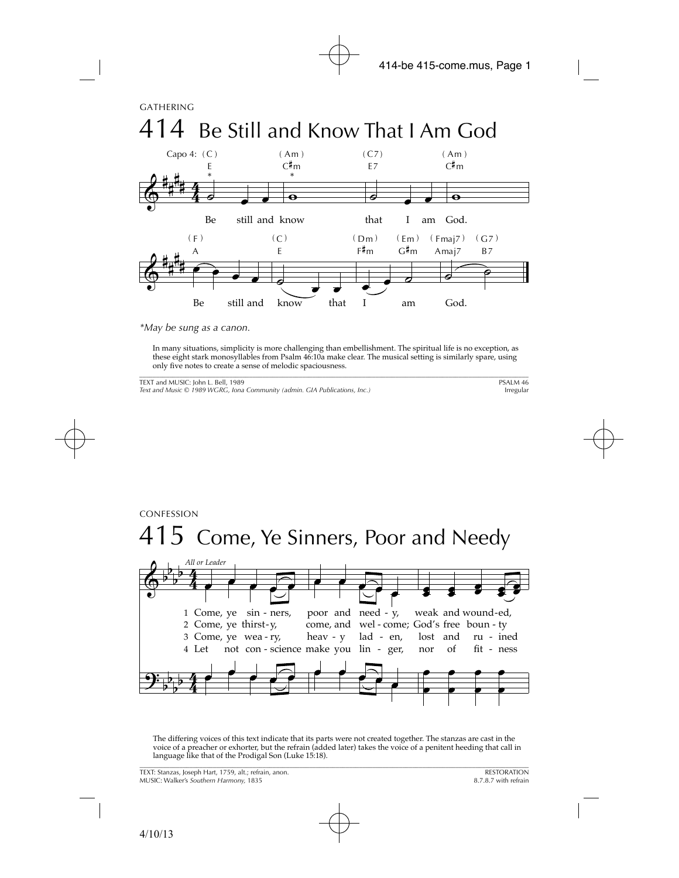CONFESSION

## 415 Come, Ye Sinners, Poor and Needy



The differing voices of this text indicate that its parts were not created together. The stanzas are cast in the voice of a preacher or exhorter, but the refrain (added later) takes the voice of a penitent heeding that call in language like that of the Prodigal Son (Luke 15:18). \_\_\_\_\_\_\_\_\_\_\_\_\_\_\_\_\_\_\_\_\_\_\_\_\_\_\_\_\_\_\_\_\_\_\_\_\_\_\_\_\_\_\_\_\_\_\_\_\_\_\_\_\_\_\_\_\_\_\_\_\_\_\_\_\_\_\_\_\_\_\_\_\_\_\_\_\_\_\_\_\_\_\_\_\_\_\_\_\_\_\_\_\_\_\_\_\_\_\_\_\_\_\_\_\_\_\_\_\_\_\_\_\_\_\_\_\_